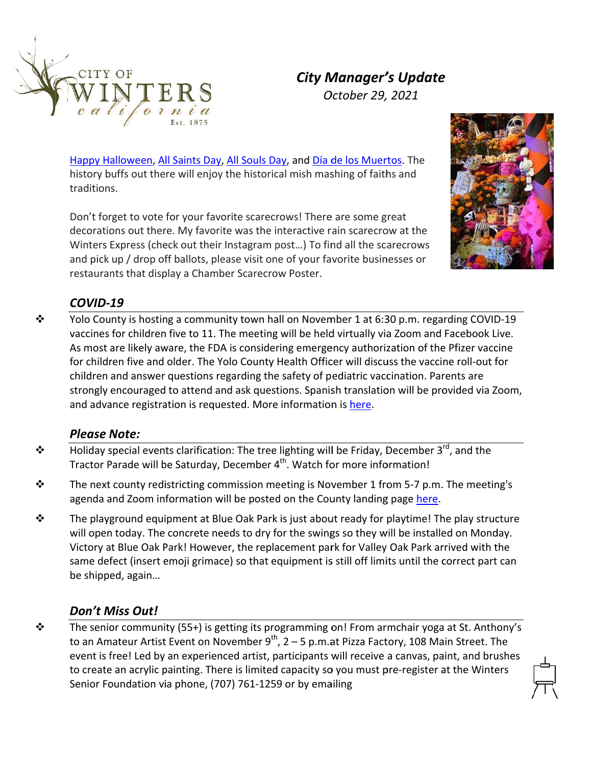

# **City Manager's Update**

October 29, 2021

Happy Halloween, All Saints Day, All Souls Day, and Día de los Muertos. The history buffs out there will enjoy the historical mish mashing of faiths and traditions.

Don't forget to vote for your favorite scarecrows! There are some great decorations out there. My favorite was the interactive rain scarecrow at the Winters Express (check out their Instagram post...) To find all the scarecrows and pick up / drop off ballots, please visit one of your favorite businesses or restaurants that display a Chamber Scarecrow Poster.



### COVID-19

 $\cdot$ Yolo County is hosting a community town hall on November 1 at 6:30 p.m. regarding COVID-19 vaccines for children five to 11. The meeting will be held virtually via Zoom and Facebook Live. As most are likely aware, the FDA is considering emergency authorization of the Pfizer vaccine for children five and older. The Yolo County Health Officer will discuss the vaccine roll-out for children and answer questions regarding the safety of pediatric vaccination. Parents are strongly encouraged to attend and ask questions. Spanish translation will be provided via Zoom, and advance registration is requested. More information is here.

#### **Please Note:**

- Holiday special events clarification: The tree lighting will be Friday, December 3rd, and the ❖ Tractor Parade will be Saturday, December 4<sup>th</sup>. Watch for more information!
- The next county redistricting commission meeting is November 1 from 5-7 p.m. The meeting's ❖ agenda and Zoom information will be posted on the County landing page here.
- ❖ The playground equipment at Blue Oak Park is just about ready for playtime! The play structure will open today. The concrete needs to dry for the swings so they will be installed on Monday. Victory at Blue Oak Park! However, the replacement park for Valley Oak Park arrived with the same defect (insert emoji grimace) so that equipment is still off limits until the correct part can be shipped, again...

#### Don't Miss Out!

The senior community (55+) is getting its programming on! From armchair yoga at St. Anthony's  $\cdot$ to an Amateur Artist Event on November  $9^{th}$ , 2 – 5 p.m.at Pizza Factory, 108 Main Street. The event is free! Led by an experienced artist, participants will receive a canvas, paint, and brushes to create an acrylic painting. There is limited capacity so you must pre-register at the Winters Senior Foundation via phone, (707) 761-1259 or by emailing